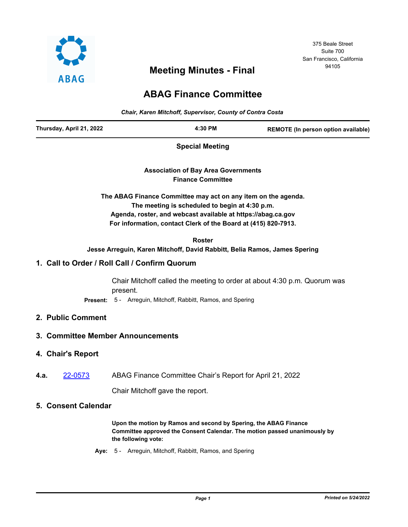

# <sup>94105</sup> **Meeting Minutes - Final**

# 375 Beale Street Suite 700 San Francisco, California

# **ABAG Finance Committee**

*Chair, Karen Mitchoff, Supervisor, County of Contra Costa*

| Thursday, April 21, 2022 | 4:30 PM | REMOTE (In person option available) |
|--------------------------|---------|-------------------------------------|
|--------------------------|---------|-------------------------------------|

**Special Meeting**

**Association of Bay Area Governments Finance Committee**

**The ABAG Finance Committee may act on any item on the agenda. The meeting is scheduled to begin at 4:30 p.m. Agenda, roster, and webcast available at https://abag.ca.gov For information, contact Clerk of the Board at (415) 820-7913.**

**Roster Jesse Arreguin, Karen Mitchoff, David Rabbitt, Belia Ramos, James Spering**

## **1. Call to Order / Roll Call / Confirm Quorum**

Chair Mitchoff called the meeting to order at about 4:30 p.m. Quorum was present. **Present:** 5 - Arreguin, Mitchoff, Rabbitt, Ramos, and Spering

## **2. Public Comment**

## **3. Committee Member Announcements**

#### **4. Chair's Report**

**4.a.** [22-0573](http://mtc.legistar.com/gateway.aspx?m=l&id=/matter.aspx?key=23832) ABAG Finance Committee Chair's Report for April 21, 2022

Chair Mitchoff gave the report.

#### **5. Consent Calendar**

**Upon the motion by Ramos and second by Spering, the ABAG Finance Committee approved the Consent Calendar. The motion passed unanimously by the following vote:**

**Aye:** 5 - Arreguin, Mitchoff, Rabbitt, Ramos, and Spering